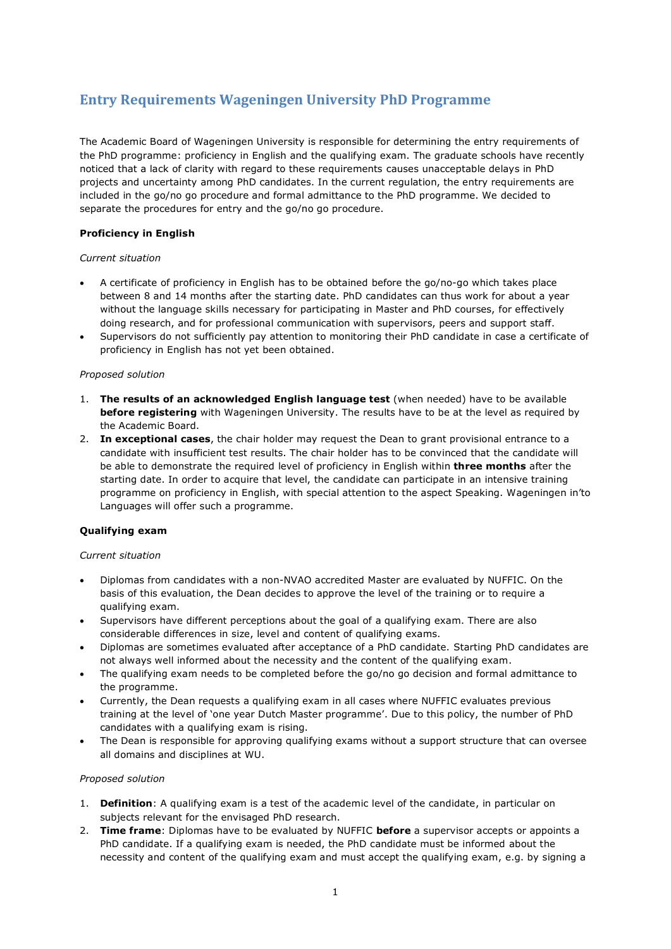# **Entry Requirements Wageningen University PhD Programme**

The Academic Board of Wageningen University is responsible for determining the entry requirements of the PhD programme: proficiency in English and the qualifying exam. The graduate schools have recently noticed that a lack of clarity with regard to these requirements causes unacceptable delays in PhD projects and uncertainty among PhD candidates. In the current regulation, the entry requirements are included in the go/no go procedure and formal admittance to the PhD programme. We decided to separate the procedures for entry and the go/no go procedure.

## **Proficiency in English**

### *Current situation*

- A certificate of proficiency in English has to be obtained before the go/no-go which takes place between 8 and 14 months after the starting date. PhD candidates can thus work for about a year without the language skills necessary for participating in Master and PhD courses, for effectively doing research, and for professional communication with supervisors, peers and support staff.
- Supervisors do not sufficiently pay attention to monitoring their PhD candidate in case a certificate of proficiency in English has not yet been obtained.

#### *Proposed solution*

- 1. **The results of an acknowledged English language test** (when needed) have to be available **before registering** with Wageningen University. The results have to be at the level as required by the Academic Board.
- 2. **In exceptional cases**, the chair holder may request the Dean to grant provisional entrance to a candidate with insufficient test results. The chair holder has to be convinced that the candidate will be able to demonstrate the required level of proficiency in English within **three months** after the starting date. In order to acquire that level, the candidate can participate in an intensive training programme on proficiency in English, with special attention to the aspect Speaking. Wageningen in'to Languages will offer such a programme.

## **Qualifying exam**

#### *Current situation*

- Diplomas from candidates with a non-NVAO accredited Master are evaluated by NUFFIC. On the basis of this evaluation, the Dean decides to approve the level of the training or to require a qualifying exam.
- Supervisors have different perceptions about the goal of a qualifying exam. There are also considerable differences in size, level and content of qualifying exams.
- Diplomas are sometimes evaluated after acceptance of a PhD candidate. Starting PhD candidates are not always well informed about the necessity and the content of the qualifying exam.
- The qualifying exam needs to be completed before the go/no go decision and formal admittance to the programme.
- Currently, the Dean requests a qualifying exam in all cases where NUFFIC evaluates previous training at the level of 'one year Dutch Master programme'. Due to this policy, the number of PhD candidates with a qualifying exam is rising.
- The Dean is responsible for approving qualifying exams without a support structure that can oversee all domains and disciplines at WU.

#### *Proposed solution*

- 1. **Definition**: A qualifying exam is a test of the academic level of the candidate, in particular on subjects relevant for the envisaged PhD research.
- 2. **Time frame**: Diplomas have to be evaluated by NUFFIC **before** a supervisor accepts or appoints a PhD candidate. If a qualifying exam is needed, the PhD candidate must be informed about the necessity and content of the qualifying exam and must accept the qualifying exam, e.g. by signing a